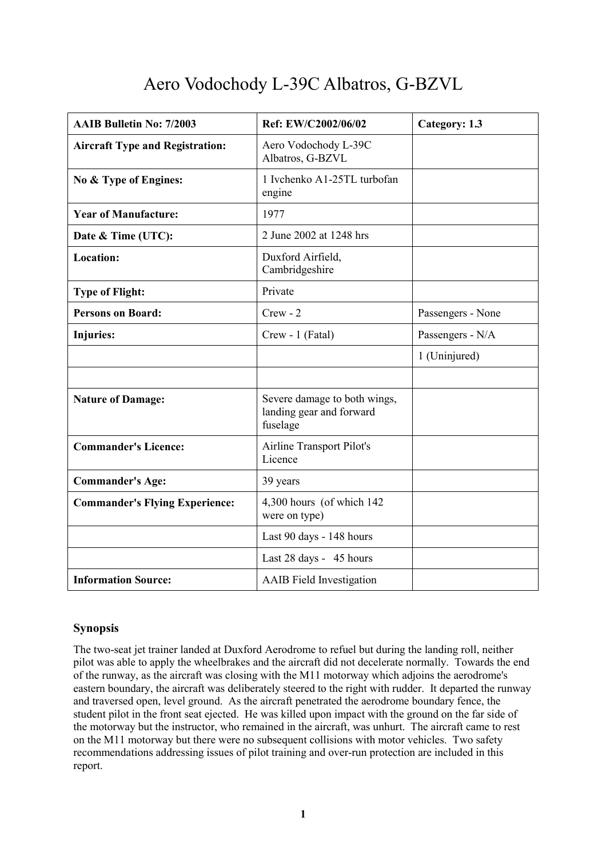# Aero Vodochody L-39C Albatros, G-BZVL

| <b>AAIB Bulletin No: 7/2003</b>        | Ref: EW/C2002/06/02                                                  | Category: 1.3     |
|----------------------------------------|----------------------------------------------------------------------|-------------------|
| <b>Aircraft Type and Registration:</b> | Aero Vodochody L-39C<br>Albatros, G-BZVL                             |                   |
| No & Type of Engines:                  | 1 Ivchenko A1-25TL turbofan<br>engine                                |                   |
| <b>Year of Manufacture:</b>            | 1977                                                                 |                   |
| Date & Time (UTC):                     | 2 June 2002 at 1248 hrs                                              |                   |
| <b>Location:</b>                       | Duxford Airfield,<br>Cambridgeshire                                  |                   |
| <b>Type of Flight:</b>                 | Private                                                              |                   |
| <b>Persons on Board:</b>               | $Crew - 2$                                                           | Passengers - None |
| <b>Injuries:</b>                       | Crew - 1 (Fatal)                                                     | Passengers - N/A  |
|                                        |                                                                      | 1 (Uninjured)     |
|                                        |                                                                      |                   |
| <b>Nature of Damage:</b>               | Severe damage to both wings,<br>landing gear and forward<br>fuselage |                   |
| <b>Commander's Licence:</b>            | <b>Airline Transport Pilot's</b><br>Licence                          |                   |
| <b>Commander's Age:</b>                | 39 years                                                             |                   |
| <b>Commander's Flying Experience:</b>  | 4,300 hours (of which 142)<br>were on type)                          |                   |
|                                        | Last 90 days - 148 hours                                             |                   |
|                                        | Last 28 days - 45 hours                                              |                   |
| <b>Information Source:</b>             | <b>AAIB</b> Field Investigation                                      |                   |

## **Synopsis**

The two-seat jet trainer landed at Duxford Aerodrome to refuel but during the landing roll, neither pilot was able to apply the wheelbrakes and the aircraft did not decelerate normally. Towards the end of the runway, as the aircraft was closing with the M11 motorway which adjoins the aerodrome's eastern boundary, the aircraft was deliberately steered to the right with rudder. It departed the runway and traversed open, level ground. As the aircraft penetrated the aerodrome boundary fence, the student pilot in the front seat ejected. He was killed upon impact with the ground on the far side of the motorway but the instructor, who remained in the aircraft, was unhurt. The aircraft came to rest on the M11 motorway but there were no subsequent collisions with motor vehicles. Two safety recommendations addressing issues of pilot training and over-run protection are included in this report.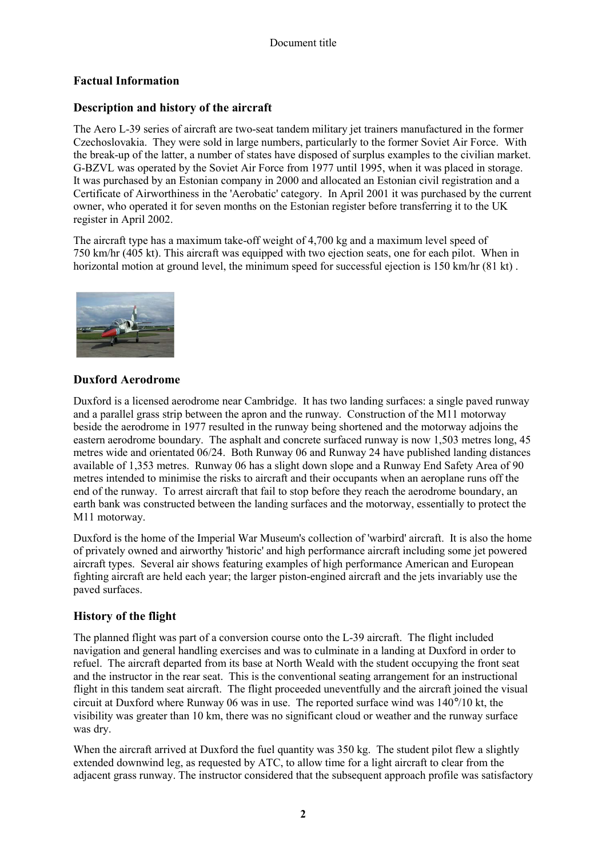# **Factual Information**

## **Description and history of the aircraft**

The Aero L-39 series of aircraft are two-seat tandem military jet trainers manufactured in the former Czechoslovakia. They were sold in large numbers, particularly to the former Soviet Air Force. With the break-up of the latter, a number of states have disposed of surplus examples to the civilian market. G-BZVL was operated by the Soviet Air Force from 1977 until 1995, when it was placed in storage. It was purchased by an Estonian company in 2000 and allocated an Estonian civil registration and a Certificate of Airworthiness in the 'Aerobatic' category. In April 2001 it was purchased by the current owner, who operated it for seven months on the Estonian register before transferring it to the UK register in April 2002.

The aircraft type has a maximum take-off weight of 4,700 kg and a maximum level speed of 750 km/hr (405 kt). This aircraft was equipped with two ejection seats, one for each pilot. When in horizontal motion at ground level, the minimum speed for successful ejection is 150 km/hr (81 kt).



## **Duxford Aerodrome**

Duxford is a licensed aerodrome near Cambridge. It has two landing surfaces: a single paved runway and a parallel grass strip between the apron and the runway. Construction of the M11 motorway beside the aerodrome in 1977 resulted in the runway being shortened and the motorway adjoins the eastern aerodrome boundary. The asphalt and concrete surfaced runway is now 1,503 metres long, 45 metres wide and orientated 06/24. Both Runway 06 and Runway 24 have published landing distances available of 1,353 metres. Runway 06 has a slight down slope and a Runway End Safety Area of 90 metres intended to minimise the risks to aircraft and their occupants when an aeroplane runs off the end of the runway. To arrest aircraft that fail to stop before they reach the aerodrome boundary, an earth bank was constructed between the landing surfaces and the motorway, essentially to protect the M11 motorway.

Duxford is the home of the Imperial War Museum's collection of 'warbird' aircraft. It is also the home of privately owned and airworthy 'historic' and high performance aircraft including some jet powered aircraft types. Several air shows featuring examples of high performance American and European fighting aircraft are held each year; the larger piston-engined aircraft and the jets invariably use the paved surfaces.

## **History of the flight**

The planned flight was part of a conversion course onto the L-39 aircraft. The flight included navigation and general handling exercises and was to culminate in a landing at Duxford in order to refuel. The aircraft departed from its base at North Weald with the student occupying the front seat and the instructor in the rear seat. This is the conventional seating arrangement for an instructional flight in this tandem seat aircraft. The flight proceeded uneventfully and the aircraft joined the visual circuit at Duxford where Runway 06 was in use. The reported surface wind was 140°/10 kt, the visibility was greater than 10 km, there was no significant cloud or weather and the runway surface was dry.

When the aircraft arrived at Duxford the fuel quantity was 350 kg. The student pilot flew a slightly extended downwind leg, as requested by ATC, to allow time for a light aircraft to clear from the adjacent grass runway. The instructor considered that the subsequent approach profile was satisfactory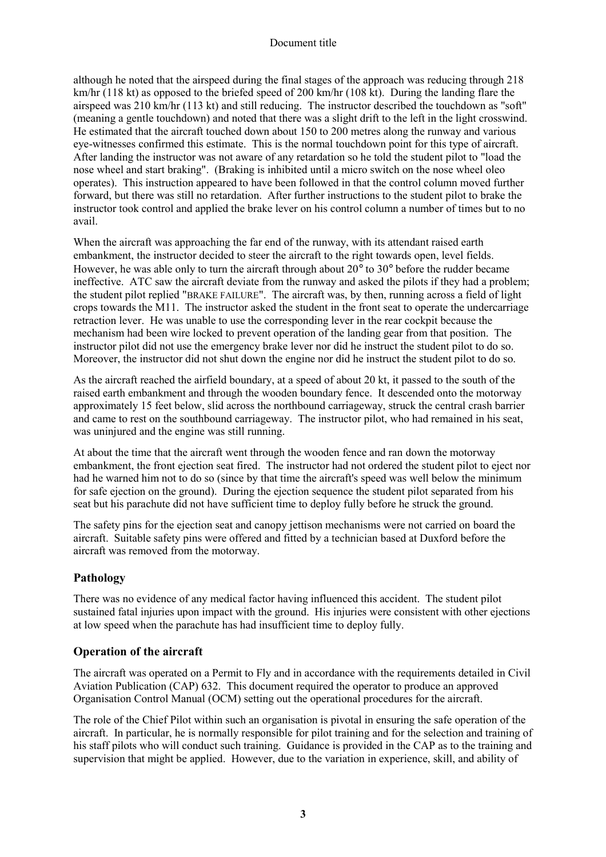#### Document title

although he noted that the airspeed during the final stages of the approach was reducing through 218 km/hr (118 kt) as opposed to the briefed speed of 200 km/hr (108 kt). During the landing flare the airspeed was 210 km/hr (113 kt) and still reducing. The instructor described the touchdown as "soft" (meaning a gentle touchdown) and noted that there was a slight drift to the left in the light crosswind. He estimated that the aircraft touched down about 150 to 200 metres along the runway and various eye-witnesses confirmed this estimate. This is the normal touchdown point for this type of aircraft. After landing the instructor was not aware of any retardation so he told the student pilot to "load the nose wheel and start braking". (Braking is inhibited until a micro switch on the nose wheel oleo operates). This instruction appeared to have been followed in that the control column moved further forward, but there was still no retardation. After further instructions to the student pilot to brake the instructor took control and applied the brake lever on his control column a number of times but to no avail.

When the aircraft was approaching the far end of the runway, with its attendant raised earth embankment, the instructor decided to steer the aircraft to the right towards open, level fields. However, he was able only to turn the aircraft through about 20° to 30° before the rudder became ineffective. ATC saw the aircraft deviate from the runway and asked the pilots if they had a problem; the student pilot replied "BRAKE FAILURE". The aircraft was, by then, running across a field of light crops towards the M11. The instructor asked the student in the front seat to operate the undercarriage retraction lever. He was unable to use the corresponding lever in the rear cockpit because the mechanism had been wire locked to prevent operation of the landing gear from that position. The instructor pilot did not use the emergency brake lever nor did he instruct the student pilot to do so. Moreover, the instructor did not shut down the engine nor did he instruct the student pilot to do so.

As the aircraft reached the airfield boundary, at a speed of about 20 kt, it passed to the south of the raised earth embankment and through the wooden boundary fence. It descended onto the motorway approximately 15 feet below, slid across the northbound carriageway, struck the central crash barrier and came to rest on the southbound carriageway. The instructor pilot, who had remained in his seat, was uninjured and the engine was still running.

At about the time that the aircraft went through the wooden fence and ran down the motorway embankment, the front ejection seat fired. The instructor had not ordered the student pilot to eject nor had he warned him not to do so (since by that time the aircraft's speed was well below the minimum for safe ejection on the ground). During the ejection sequence the student pilot separated from his seat but his parachute did not have sufficient time to deploy fully before he struck the ground.

The safety pins for the ejection seat and canopy jettison mechanisms were not carried on board the aircraft. Suitable safety pins were offered and fitted by a technician based at Duxford before the aircraft was removed from the motorway.

#### **Pathology**

There was no evidence of any medical factor having influenced this accident. The student pilot sustained fatal injuries upon impact with the ground. His injuries were consistent with other ejections at low speed when the parachute has had insufficient time to deploy fully.

#### **Operation of the aircraft**

The aircraft was operated on a Permit to Fly and in accordance with the requirements detailed in Civil Aviation Publication (CAP) 632. This document required the operator to produce an approved Organisation Control Manual (OCM) setting out the operational procedures for the aircraft.

The role of the Chief Pilot within such an organisation is pivotal in ensuring the safe operation of the aircraft. In particular, he is normally responsible for pilot training and for the selection and training of his staff pilots who will conduct such training. Guidance is provided in the CAP as to the training and supervision that might be applied. However, due to the variation in experience, skill, and ability of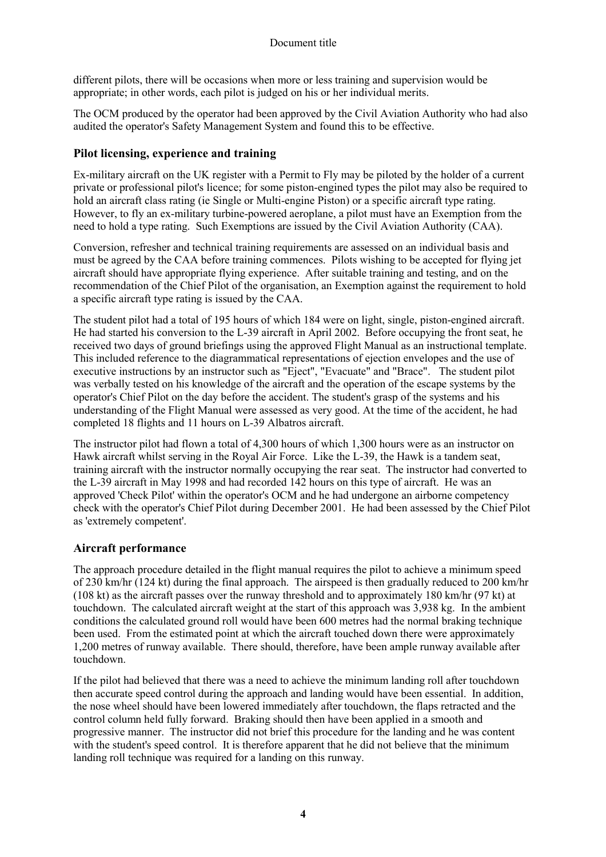different pilots, there will be occasions when more or less training and supervision would be appropriate; in other words, each pilot is judged on his or her individual merits.

The OCM produced by the operator had been approved by the Civil Aviation Authority who had also audited the operator's Safety Management System and found this to be effective.

#### **Pilot licensing, experience and training**

Ex-military aircraft on the UK register with a Permit to Fly may be piloted by the holder of a current private or professional pilot's licence; for some piston-engined types the pilot may also be required to hold an aircraft class rating (ie Single or Multi-engine Piston) or a specific aircraft type rating. However, to fly an ex-military turbine-powered aeroplane, a pilot must have an Exemption from the need to hold a type rating. Such Exemptions are issued by the Civil Aviation Authority (CAA).

Conversion, refresher and technical training requirements are assessed on an individual basis and must be agreed by the CAA before training commences. Pilots wishing to be accepted for flying jet aircraft should have appropriate flying experience. After suitable training and testing, and on the recommendation of the Chief Pilot of the organisation, an Exemption against the requirement to hold a specific aircraft type rating is issued by the CAA.

The student pilot had a total of 195 hours of which 184 were on light, single, piston-engined aircraft. He had started his conversion to the L-39 aircraft in April 2002. Before occupying the front seat, he received two days of ground briefings using the approved Flight Manual as an instructional template. This included reference to the diagrammatical representations of ejection envelopes and the use of executive instructions by an instructor such as "Eject", "Evacuate" and "Brace". The student pilot was verbally tested on his knowledge of the aircraft and the operation of the escape systems by the operator's Chief Pilot on the day before the accident. The student's grasp of the systems and his understanding of the Flight Manual were assessed as very good. At the time of the accident, he had completed 18 flights and 11 hours on L-39 Albatros aircraft.

The instructor pilot had flown a total of 4,300 hours of which 1,300 hours were as an instructor on Hawk aircraft whilst serving in the Royal Air Force. Like the L-39, the Hawk is a tandem seat, training aircraft with the instructor normally occupying the rear seat. The instructor had converted to the L-39 aircraft in May 1998 and had recorded 142 hours on this type of aircraft. He was an approved 'Check Pilot' within the operator's OCM and he had undergone an airborne competency check with the operator's Chief Pilot during December 2001. He had been assessed by the Chief Pilot as 'extremely competent'.

## **Aircraft performance**

The approach procedure detailed in the flight manual requires the pilot to achieve a minimum speed of 230 km/hr (124 kt) during the final approach. The airspeed is then gradually reduced to 200 km/hr (108 kt) as the aircraft passes over the runway threshold and to approximately 180 km/hr (97 kt) at touchdown. The calculated aircraft weight at the start of this approach was 3,938 kg. In the ambient conditions the calculated ground roll would have been 600 metres had the normal braking technique been used. From the estimated point at which the aircraft touched down there were approximately 1,200 metres of runway available. There should, therefore, have been ample runway available after touchdown.

If the pilot had believed that there was a need to achieve the minimum landing roll after touchdown then accurate speed control during the approach and landing would have been essential. In addition, the nose wheel should have been lowered immediately after touchdown, the flaps retracted and the control column held fully forward. Braking should then have been applied in a smooth and progressive manner. The instructor did not brief this procedure for the landing and he was content with the student's speed control. It is therefore apparent that he did not believe that the minimum landing roll technique was required for a landing on this runway.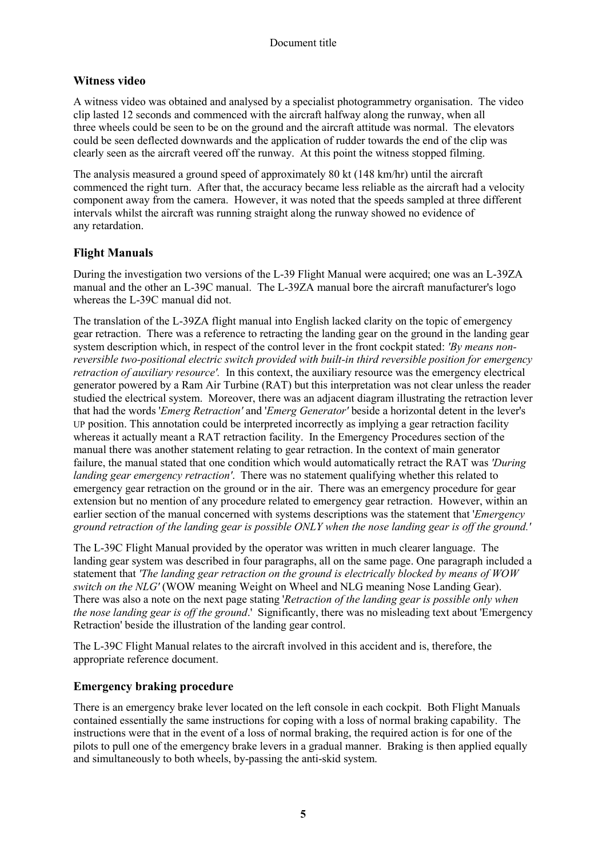## **Witness video**

A witness video was obtained and analysed by a specialist photogrammetry organisation. The video clip lasted 12 seconds and commenced with the aircraft halfway along the runway, when all three wheels could be seen to be on the ground and the aircraft attitude was normal. The elevators could be seen deflected downwards and the application of rudder towards the end of the clip was clearly seen as the aircraft veered off the runway. At this point the witness stopped filming.

The analysis measured a ground speed of approximately 80 kt (148 km/hr) until the aircraft commenced the right turn. After that, the accuracy became less reliable as the aircraft had a velocity component away from the camera. However, it was noted that the speeds sampled at three different intervals whilst the aircraft was running straight along the runway showed no evidence of any retardation.

## **Flight Manuals**

During the investigation two versions of the L-39 Flight Manual were acquired; one was an L-39ZA manual and the other an L-39C manual. The L-39ZA manual bore the aircraft manufacturer's logo whereas the L-39C manual did not.

The translation of the L-39ZA flight manual into English lacked clarity on the topic of emergency gear retraction. There was a reference to retracting the landing gear on the ground in the landing gear system description which, in respect of the control lever in the front cockpit stated: *'By means nonreversible two-positional electric switch provided with built-in third reversible position for emergency retraction of auxiliary resource'.* In this context, the auxiliary resource was the emergency electrical generator powered by a Ram Air Turbine (RAT) but this interpretation was not clear unless the reader studied the electrical system. Moreover, there was an adjacent diagram illustrating the retraction lever that had the words '*Emerg Retraction'* and '*Emerg Generator'* beside a horizontal detent in the lever's UP position. This annotation could be interpreted incorrectly as implying a gear retraction facility whereas it actually meant a RAT retraction facility. In the Emergency Procedures section of the manual there was another statement relating to gear retraction. In the context of main generator failure, the manual stated that one condition which would automatically retract the RAT was *'During landing gear emergency retraction'*. There was no statement qualifying whether this related to emergency gear retraction on the ground or in the air. There was an emergency procedure for gear extension but no mention of any procedure related to emergency gear retraction. However, within an earlier section of the manual concerned with systems descriptions was the statement that '*Emergency ground retraction of the landing gear is possible ONLY when the nose landing gear is off the ground.'*

The L-39C Flight Manual provided by the operator was written in much clearer language. The landing gear system was described in four paragraphs, all on the same page. One paragraph included a statement that *'The landing gear retraction on the ground is electrically blocked by means of WOW switch on the NLG'* (WOW meaning Weight on Wheel and NLG meaning Nose Landing Gear). There was also a note on the next page stating '*Retraction of the landing gear is possible only when the nose landing gear is off the ground*.' Significantly, there was no misleading text about 'Emergency Retraction' beside the illustration of the landing gear control.

The L-39C Flight Manual relates to the aircraft involved in this accident and is, therefore, the appropriate reference document.

#### **Emergency braking procedure**

There is an emergency brake lever located on the left console in each cockpit. Both Flight Manuals contained essentially the same instructions for coping with a loss of normal braking capability. The instructions were that in the event of a loss of normal braking, the required action is for one of the pilots to pull one of the emergency brake levers in a gradual manner. Braking is then applied equally and simultaneously to both wheels, by-passing the anti-skid system.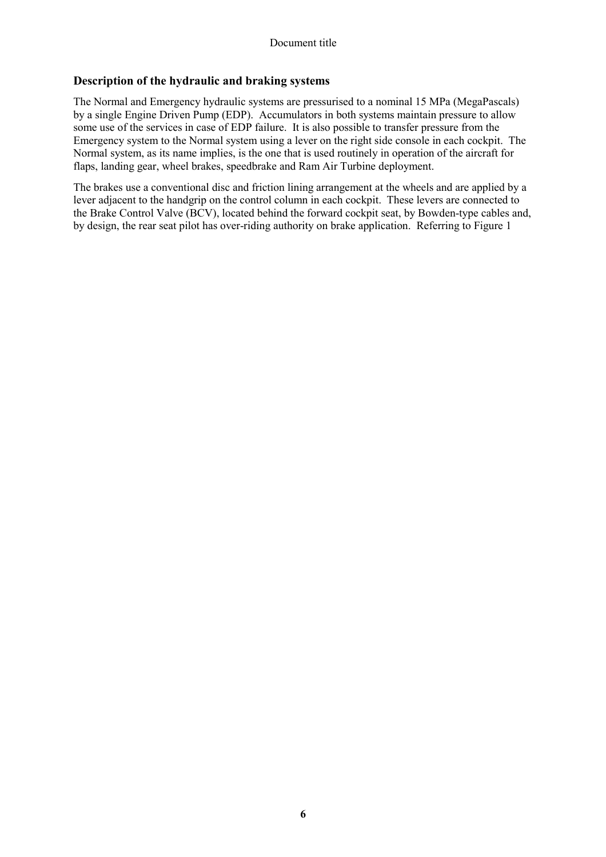### **Description of the hydraulic and braking systems**

The Normal and Emergency hydraulic systems are pressurised to a nominal 15 MPa (MegaPascals) by a single Engine Driven Pump (EDP). Accumulators in both systems maintain pressure to allow some use of the services in case of EDP failure. It is also possible to transfer pressure from the Emergency system to the Normal system using a lever on the right side console in each cockpit. The Normal system, as its name implies, is the one that is used routinely in operation of the aircraft for flaps, landing gear, wheel brakes, speedbrake and Ram Air Turbine deployment.

The brakes use a conventional disc and friction lining arrangement at the wheels and are applied by a lever adjacent to the handgrip on the control column in each cockpit. These levers are connected to the Brake Control Valve (BCV), located behind the forward cockpit seat, by Bowden-type cables and, by design, the rear seat pilot has over-riding authority on brake application. Referring to Figure 1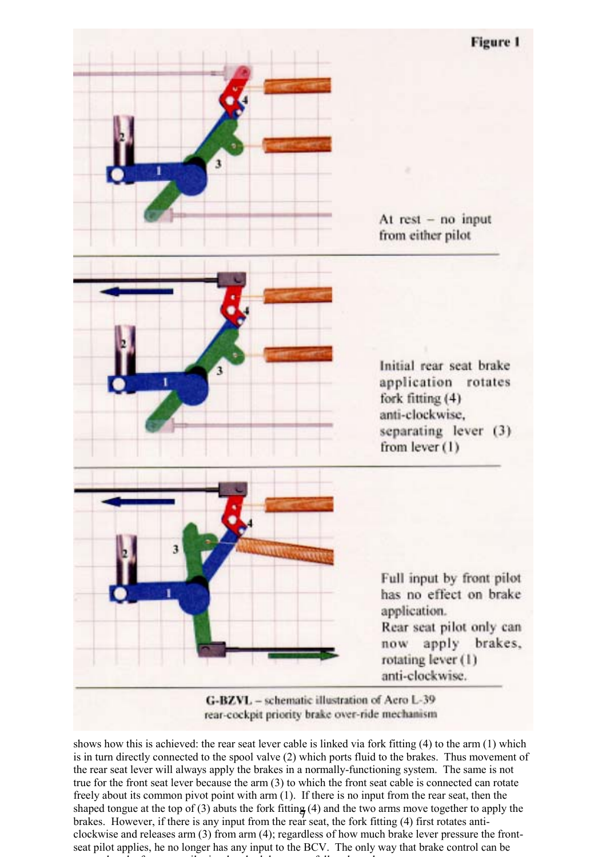

rear-cockpit priority brake over-ride mechanism

shaped tongue at the top of (3) abuts the fork fitting (4) and the two arms move together to apply the shows how this is achieved: the rear seat lever cable is linked via fork fitting (4) to the arm (1) which is in turn directly connected to the spool valve (2) which ports fluid to the brakes. Thus movement of the rear seat lever will always apply the brakes in a normally-functioning system. The same is not true for the front seat lever because the arm (3) to which the front seat cable is connected can rotate freely about its common pivot point with arm (1). If there is no input from the rear seat, then the brakes. However, if there is any input from the rear seat, the fork fitting  $(4)$  first rotates anticlockwise and releases arm (3) from arm (4); regardless of how much brake lever pressure the frontseat pilot applies, he no longer has any input to the BCV. The only way that brake control can be d h f il i h b h l f ll l d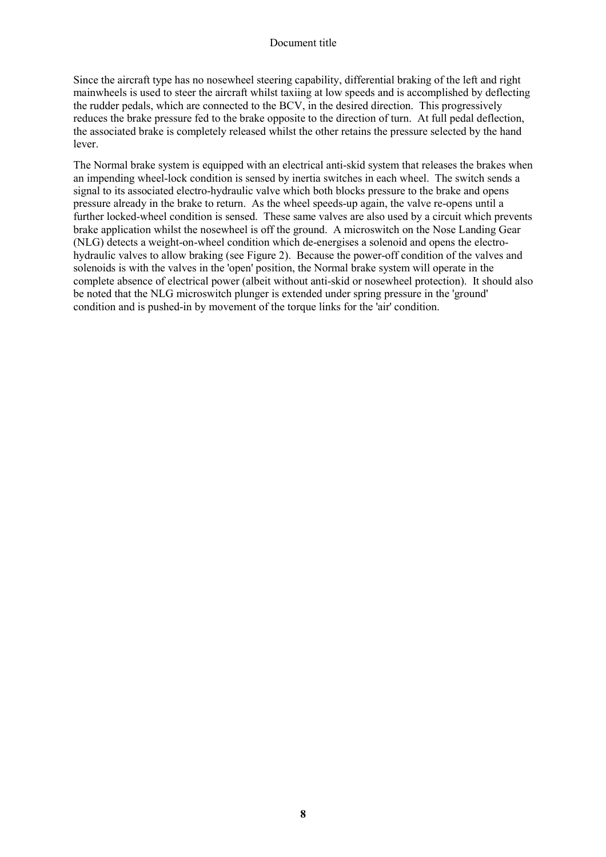#### Document title

Since the aircraft type has no nosewheel steering capability, differential braking of the left and right mainwheels is used to steer the aircraft whilst taxiing at low speeds and is accomplished by deflecting the rudder pedals, which are connected to the BCV, in the desired direction. This progressively reduces the brake pressure fed to the brake opposite to the direction of turn. At full pedal deflection, the associated brake is completely released whilst the other retains the pressure selected by the hand lever.

The Normal brake system is equipped with an electrical anti-skid system that releases the brakes when an impending wheel-lock condition is sensed by inertia switches in each wheel. The switch sends a signal to its associated electro-hydraulic valve which both blocks pressure to the brake and opens pressure already in the brake to return. As the wheel speeds-up again, the valve re-opens until a further locked-wheel condition is sensed. These same valves are also used by a circuit which prevents brake application whilst the nosewheel is off the ground. A microswitch on the Nose Landing Gear (NLG) detects a weight-on-wheel condition which de-energises a solenoid and opens the electrohydraulic valves to allow braking (see Figure 2). Because the power-off condition of the valves and solenoids is with the valves in the 'open' position, the Normal brake system will operate in the complete absence of electrical power (albeit without anti-skid or nosewheel protection). It should also be noted that the NLG microswitch plunger is extended under spring pressure in the 'ground' condition and is pushed-in by movement of the torque links for the 'air' condition.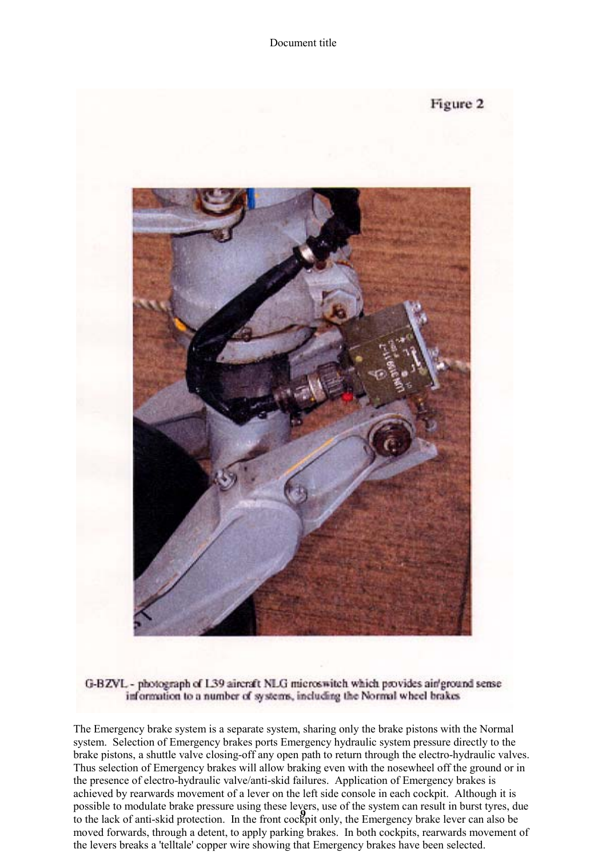

#### G-BZVL - photograph of L39 aircraft NLG microswitch which provides air/ground sense information to a number of systems, including the Normal wheel brakes

to the lack of anti-skid protection. In the front cockpit only, the Emergency brake lever can also be The Emergency brake system is a separate system, sharing only the brake pistons with the Normal system. Selection of Emergency brakes ports Emergency hydraulic system pressure directly to the brake pistons, a shuttle valve closing-off any open path to return through the electro-hydraulic valves. Thus selection of Emergency brakes will allow braking even with the nosewheel off the ground or in the presence of electro-hydraulic valve/anti-skid failures. Application of Emergency brakes is achieved by rearwards movement of a lever on the left side console in each cockpit. Although it is possible to modulate brake pressure using these levers, use of the system can result in burst tyres, due moved forwards, through a detent, to apply parking brakes. In both cockpits, rearwards movement of the levers breaks a 'telltale' copper wire showing that Emergency brakes have been selected.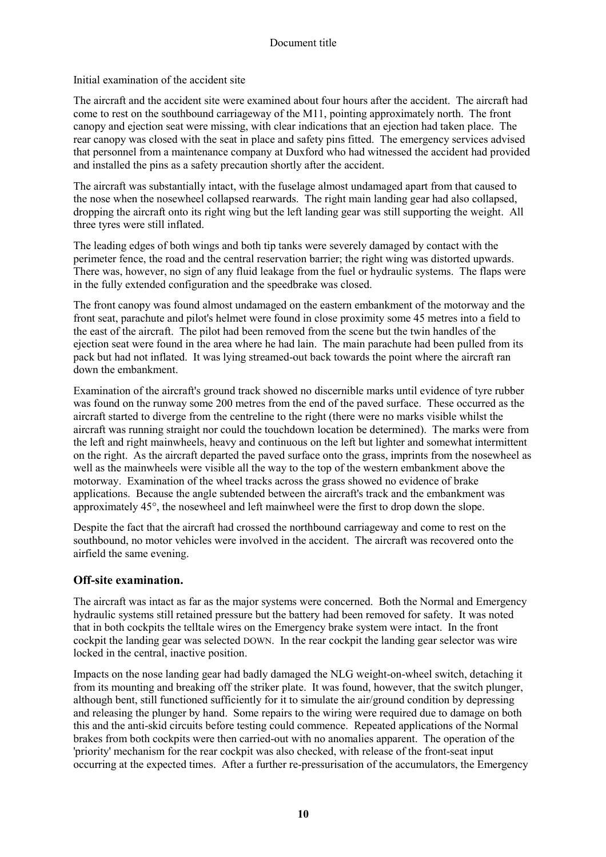Initial examination of the accident site

The aircraft and the accident site were examined about four hours after the accident. The aircraft had come to rest on the southbound carriageway of the M11, pointing approximately north. The front canopy and ejection seat were missing, with clear indications that an ejection had taken place. The rear canopy was closed with the seat in place and safety pins fitted. The emergency services advised that personnel from a maintenance company at Duxford who had witnessed the accident had provided and installed the pins as a safety precaution shortly after the accident.

The aircraft was substantially intact, with the fuselage almost undamaged apart from that caused to the nose when the nosewheel collapsed rearwards. The right main landing gear had also collapsed, dropping the aircraft onto its right wing but the left landing gear was still supporting the weight. All three tyres were still inflated.

The leading edges of both wings and both tip tanks were severely damaged by contact with the perimeter fence, the road and the central reservation barrier; the right wing was distorted upwards. There was, however, no sign of any fluid leakage from the fuel or hydraulic systems. The flaps were in the fully extended configuration and the speedbrake was closed.

The front canopy was found almost undamaged on the eastern embankment of the motorway and the front seat, parachute and pilot's helmet were found in close proximity some 45 metres into a field to the east of the aircraft. The pilot had been removed from the scene but the twin handles of the ejection seat were found in the area where he had lain. The main parachute had been pulled from its pack but had not inflated. It was lying streamed-out back towards the point where the aircraft ran down the embankment.

Examination of the aircraft's ground track showed no discernible marks until evidence of tyre rubber was found on the runway some 200 metres from the end of the paved surface. These occurred as the aircraft started to diverge from the centreline to the right (there were no marks visible whilst the aircraft was running straight nor could the touchdown location be determined). The marks were from the left and right mainwheels, heavy and continuous on the left but lighter and somewhat intermittent on the right. As the aircraft departed the paved surface onto the grass, imprints from the nosewheel as well as the mainwheels were visible all the way to the top of the western embankment above the motorway. Examination of the wheel tracks across the grass showed no evidence of brake applications. Because the angle subtended between the aircraft's track and the embankment was approximately 45°, the nosewheel and left mainwheel were the first to drop down the slope.

Despite the fact that the aircraft had crossed the northbound carriageway and come to rest on the southbound, no motor vehicles were involved in the accident. The aircraft was recovered onto the airfield the same evening.

#### **Off-site examination.**

The aircraft was intact as far as the major systems were concerned. Both the Normal and Emergency hydraulic systems still retained pressure but the battery had been removed for safety. It was noted that in both cockpits the telltale wires on the Emergency brake system were intact. In the front cockpit the landing gear was selected DOWN. In the rear cockpit the landing gear selector was wire locked in the central, inactive position.

Impacts on the nose landing gear had badly damaged the NLG weight-on-wheel switch, detaching it from its mounting and breaking off the striker plate. It was found, however, that the switch plunger, although bent, still functioned sufficiently for it to simulate the air/ground condition by depressing and releasing the plunger by hand. Some repairs to the wiring were required due to damage on both this and the anti-skid circuits before testing could commence. Repeated applications of the Normal brakes from both cockpits were then carried-out with no anomalies apparent. The operation of the 'priority' mechanism for the rear cockpit was also checked, with release of the front-seat input occurring at the expected times. After a further re-pressurisation of the accumulators, the Emergency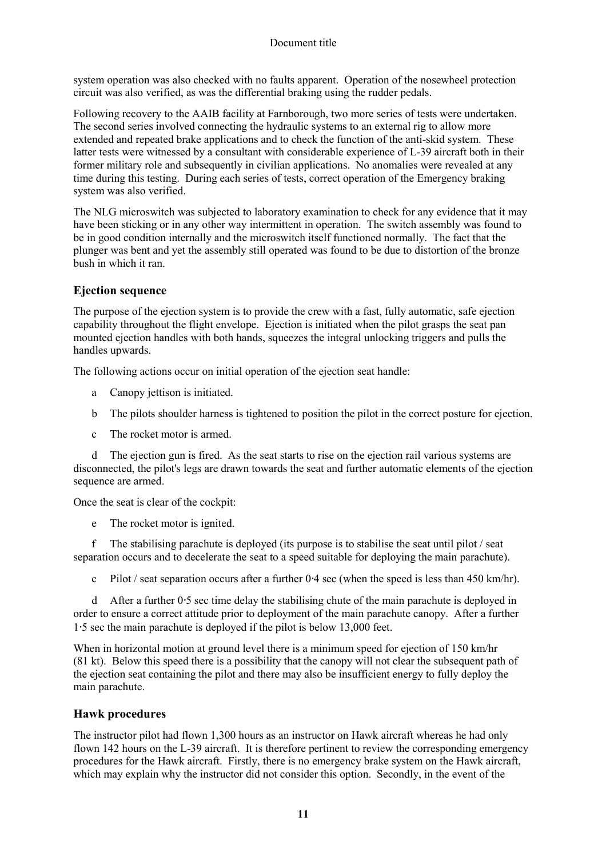#### Document title

system operation was also checked with no faults apparent. Operation of the nosewheel protection circuit was also verified, as was the differential braking using the rudder pedals.

Following recovery to the AAIB facility at Farnborough, two more series of tests were undertaken. The second series involved connecting the hydraulic systems to an external rig to allow more extended and repeated brake applications and to check the function of the anti-skid system. These latter tests were witnessed by a consultant with considerable experience of L-39 aircraft both in their former military role and subsequently in civilian applications. No anomalies were revealed at any time during this testing. During each series of tests, correct operation of the Emergency braking system was also verified.

The NLG microswitch was subjected to laboratory examination to check for any evidence that it may have been sticking or in any other way intermittent in operation. The switch assembly was found to be in good condition internally and the microswitch itself functioned normally. The fact that the plunger was bent and yet the assembly still operated was found to be due to distortion of the bronze bush in which it ran.

## **Ejection sequence**

The purpose of the ejection system is to provide the crew with a fast, fully automatic, safe ejection capability throughout the flight envelope. Ejection is initiated when the pilot grasps the seat pan mounted ejection handles with both hands, squeezes the integral unlocking triggers and pulls the handles upwards.

The following actions occur on initial operation of the ejection seat handle:

- a Canopy jettison is initiated.
- b The pilots shoulder harness is tightened to position the pilot in the correct posture for ejection.
- c The rocket motor is armed.

 d The ejection gun is fired. As the seat starts to rise on the ejection rail various systems are disconnected, the pilot's legs are drawn towards the seat and further automatic elements of the ejection sequence are armed.

Once the seat is clear of the cockpit:

e The rocket motor is ignited.

 f The stabilising parachute is deployed (its purpose is to stabilise the seat until pilot / seat separation occurs and to decelerate the seat to a speed suitable for deploying the main parachute).

c Pilot / seat separation occurs after a further 0⋅4 sec (when the speed is less than 450 km/hr).

 d After a further 0⋅5 sec time delay the stabilising chute of the main parachute is deployed in order to ensure a correct attitude prior to deployment of the main parachute canopy. After a further 1⋅5 sec the main parachute is deployed if the pilot is below 13,000 feet.

When in horizontal motion at ground level there is a minimum speed for ejection of 150 km/hr (81 kt). Below this speed there is a possibility that the canopy will not clear the subsequent path of the ejection seat containing the pilot and there may also be insufficient energy to fully deploy the main parachute.

#### **Hawk procedures**

The instructor pilot had flown 1,300 hours as an instructor on Hawk aircraft whereas he had only flown 142 hours on the L-39 aircraft. It is therefore pertinent to review the corresponding emergency procedures for the Hawk aircraft. Firstly, there is no emergency brake system on the Hawk aircraft, which may explain why the instructor did not consider this option. Secondly, in the event of the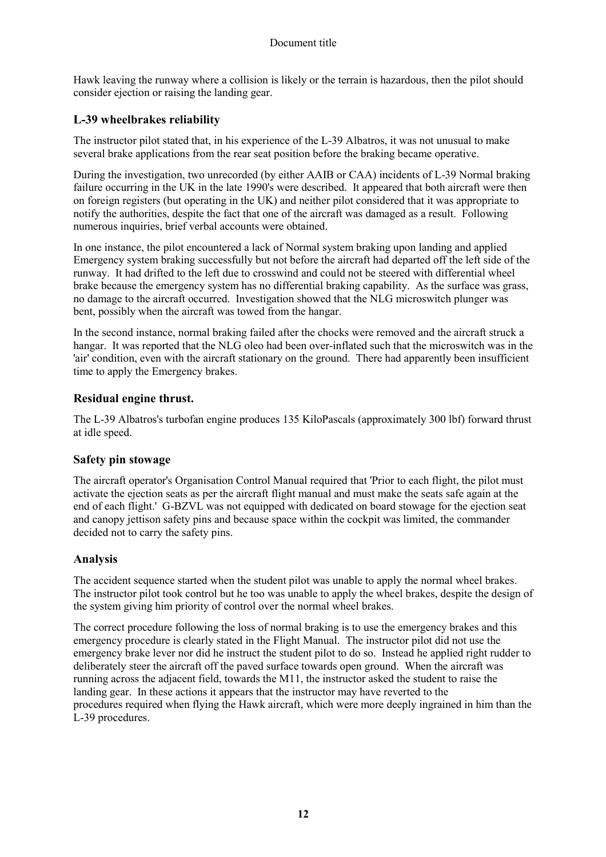Hawk leaving the runway where a collision is likely or the terrain is hazardous, then the pilot should consider ejection or raising the landing gear.

## **L-39 wheelbrakes reliability**

The instructor pilot stated that, in his experience of the L-39 Albatros, it was not unusual to make several brake applications from the rear seat position before the braking became operative.

During the investigation, two unrecorded (by either AAIB or CAA) incidents of L-39 Normal braking failure occurring in the UK in the late 1990's were described. It appeared that both aircraft were then on foreign registers (but operating in the UK) and neither pilot considered that it was appropriate to notify the authorities, despite the fact that one of the aircraft was damaged as a result. Following numerous inquiries, brief verbal accounts were obtained.

In one instance, the pilot encountered a lack of Normal system braking upon landing and applied Emergency system braking successfully but not before the aircraft had departed off the left side of the runway. It had drifted to the left due to crosswind and could not be steered with differential wheel brake because the emergency system has no differential braking capability. As the surface was grass, no damage to the aircraft occurred. Investigation showed that the NLG microswitch plunger was bent, possibly when the aircraft was towed from the hangar.

In the second instance, normal braking failed after the chocks were removed and the aircraft struck a hangar. It was reported that the NLG oleo had been over-inflated such that the microswitch was in the 'air' condition, even with the aircraft stationary on the ground. There had apparently been insufficient time to apply the Emergency brakes.

### **Residual engine thrust.**

The L-39 Albatros's turbofan engine produces 135 KiloPascals (approximately 300 lbf) forward thrust at idle speed.

#### **Safety pin stowage**

The aircraft operator's Organisation Control Manual required that 'Prior to each flight, the pilot must activate the ejection seats as per the aircraft flight manual and must make the seats safe again at the end of each flight.' G-BZVL was not equipped with dedicated on board stowage for the ejection seat and canopy jettison safety pins and because space within the cockpit was limited, the commander decided not to carry the safety pins.

## **Analysis**

The accident sequence started when the student pilot was unable to apply the normal wheel brakes. The instructor pilot took control but he too was unable to apply the wheel brakes, despite the design of the system giving him priority of control over the normal wheel brakes.

The correct procedure following the loss of normal braking is to use the emergency brakes and this emergency procedure is clearly stated in the Flight Manual. The instructor pilot did not use the emergency brake lever nor did he instruct the student pilot to do so. Instead he applied right rudder to deliberately steer the aircraft off the paved surface towards open ground. When the aircraft was running across the adjacent field, towards the M11, the instructor asked the student to raise the landing gear. In these actions it appears that the instructor may have reverted to the procedures required when flying the Hawk aircraft, which were more deeply ingrained in him than the L-39 procedures.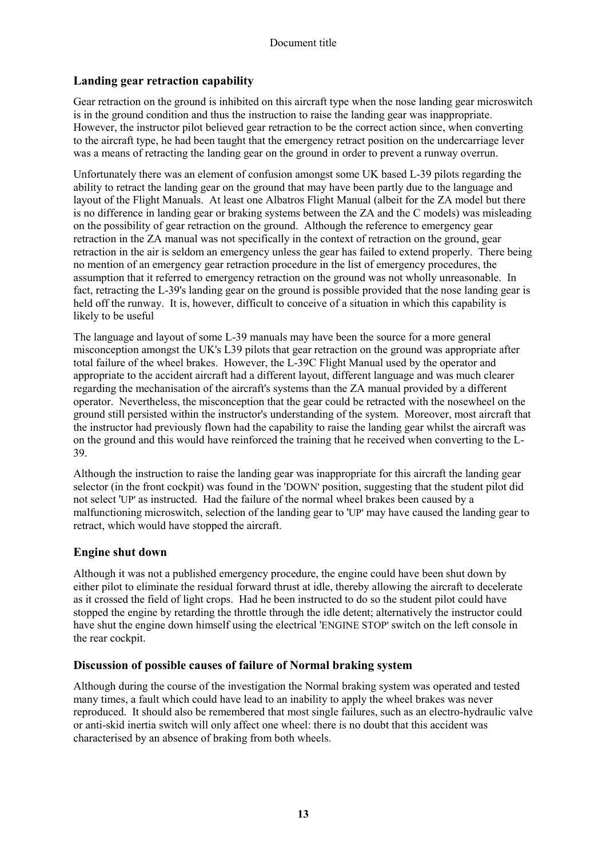## **Landing gear retraction capability**

Gear retraction on the ground is inhibited on this aircraft type when the nose landing gear microswitch is in the ground condition and thus the instruction to raise the landing gear was inappropriate. However, the instructor pilot believed gear retraction to be the correct action since, when converting to the aircraft type, he had been taught that the emergency retract position on the undercarriage lever was a means of retracting the landing gear on the ground in order to prevent a runway overrun.

Unfortunately there was an element of confusion amongst some UK based L-39 pilots regarding the ability to retract the landing gear on the ground that may have been partly due to the language and layout of the Flight Manuals. At least one Albatros Flight Manual (albeit for the ZA model but there is no difference in landing gear or braking systems between the ZA and the C models) was misleading on the possibility of gear retraction on the ground. Although the reference to emergency gear retraction in the ZA manual was not specifically in the context of retraction on the ground, gear retraction in the air is seldom an emergency unless the gear has failed to extend properly. There being no mention of an emergency gear retraction procedure in the list of emergency procedures, the assumption that it referred to emergency retraction on the ground was not wholly unreasonable. In fact, retracting the L-39's landing gear on the ground is possible provided that the nose landing gear is held off the runway. It is, however, difficult to conceive of a situation in which this capability is likely to be useful

The language and layout of some L-39 manuals may have been the source for a more general misconception amongst the UK's L39 pilots that gear retraction on the ground was appropriate after total failure of the wheel brakes. However, the L-39C Flight Manual used by the operator and appropriate to the accident aircraft had a different layout, different language and was much clearer regarding the mechanisation of the aircraft's systems than the ZA manual provided by a different operator. Nevertheless, the misconception that the gear could be retracted with the nosewheel on the ground still persisted within the instructor's understanding of the system. Moreover, most aircraft that the instructor had previously flown had the capability to raise the landing gear whilst the aircraft was on the ground and this would have reinforced the training that he received when converting to the L-39.

Although the instruction to raise the landing gear was inappropriate for this aircraft the landing gear selector (in the front cockpit) was found in the 'DOWN' position, suggesting that the student pilot did not select 'UP' as instructed. Had the failure of the normal wheel brakes been caused by a malfunctioning microswitch, selection of the landing gear to 'UP' may have caused the landing gear to retract, which would have stopped the aircraft.

#### **Engine shut down**

Although it was not a published emergency procedure, the engine could have been shut down by either pilot to eliminate the residual forward thrust at idle, thereby allowing the aircraft to decelerate as it crossed the field of light crops. Had he been instructed to do so the student pilot could have stopped the engine by retarding the throttle through the idle detent; alternatively the instructor could have shut the engine down himself using the electrical 'ENGINE STOP' switch on the left console in the rear cockpit.

#### **Discussion of possible causes of failure of Normal braking system**

Although during the course of the investigation the Normal braking system was operated and tested many times, a fault which could have lead to an inability to apply the wheel brakes was never reproduced. It should also be remembered that most single failures, such as an electro-hydraulic valve or anti-skid inertia switch will only affect one wheel: there is no doubt that this accident was characterised by an absence of braking from both wheels.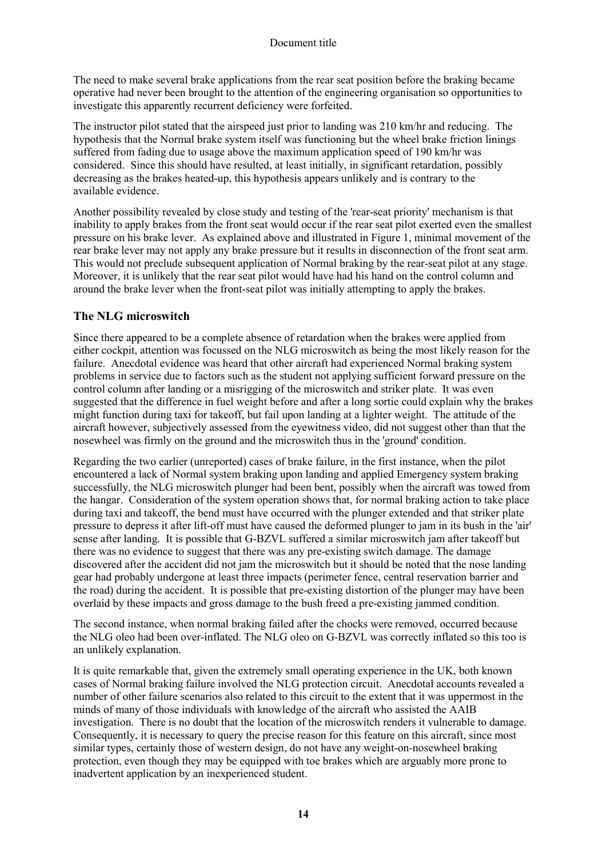The need to make several brake applications from the rear seat position before the braking became operative had never been brought to the attention of the engineering organisation so opportunities to investigate this apparently recurrent deficiency were forfeited.

The instructor pilot stated that the airspeed just prior to landing was 210 km/hr and reducing. The hypothesis that the Normal brake system itself was functioning but the wheel brake friction linings suffered from fading due to usage above the maximum application speed of 190 km/hr was considered. Since this should have resulted, at least initially, in significant retardation, possibly decreasing as the brakes heated-up, this hypothesis appears unlikely and is contrary to the available evidence.

Another possibility revealed by close study and testing of the 'rear-seat priority' mechanism is that inability to apply brakes from the front seat would occur if the rear seat pilot exerted even the smallest pressure on his brake lever. As explained above and illustrated in Figure 1, minimal movement of the rear brake lever may not apply any brake pressure but it results in disconnection of the front seat arm. This would not preclude subsequent application of Normal braking by the rear-seat pilot at any stage. Moreover, it is unlikely that the rear seat pilot would have had his hand on the control column and around the brake lever when the front-seat pilot was initially attempting to apply the brakes.

# **The NLG microswitch**

Since there appeared to be a complete absence of retardation when the brakes were applied from either cockpit, attention was focussed on the NLG microswitch as being the most likely reason for the failure. Anecdotal evidence was heard that other aircraft had experienced Normal braking system problems in service due to factors such as the student not applying sufficient forward pressure on the control column after landing or a misrigging of the microswitch and striker plate. It was even suggested that the difference in fuel weight before and after a long sortie could explain why the brakes might function during taxi for takeoff, but fail upon landing at a lighter weight. The attitude of the aircraft however, subjectively assessed from the eyewitness video, did not suggest other than that the nosewheel was firmly on the ground and the microswitch thus in the 'ground' condition.

Regarding the two earlier (unreported) cases of brake failure, in the first instance, when the pilot encountered a lack of Normal system braking upon landing and applied Emergency system braking successfully, the NLG microswitch plunger had been bent, possibly when the aircraft was towed from the hangar. Consideration of the system operation shows that, for normal braking action to take place during taxi and takeoff, the bend must have occurred with the plunger extended and that striker plate pressure to depress it after lift-off must have caused the deformed plunger to jam in its bush in the 'air' sense after landing. It is possible that G-BZVL suffered a similar microswitch jam after takeoff but there was no evidence to suggest that there was any pre-existing switch damage. The damage discovered after the accident did not jam the microswitch but it should be noted that the nose landing gear had probably undergone at least three impacts (perimeter fence, central reservation barrier and the road) during the accident. It is possible that pre-existing distortion of the plunger may have been overlaid by these impacts and gross damage to the bush freed a pre-existing jammed condition.

The second instance, when normal braking failed after the chocks were removed, occurred because the NLG oleo had been over-inflated. The NLG oleo on G-BZVL was correctly inflated so this too is an unlikely explanation.

It is quite remarkable that, given the extremely small operating experience in the UK, both known cases of Normal braking failure involved the NLG protection circuit. Anecdotal accounts revealed a number of other failure scenarios also related to this circuit to the extent that it was uppermost in the minds of many of those individuals with knowledge of the aircraft who assisted the AAIB investigation. There is no doubt that the location of the microswitch renders it vulnerable to damage. Consequently, it is necessary to query the precise reason for this feature on this aircraft, since most similar types, certainly those of western design, do not have any weight-on-nosewheel braking protection, even though they may be equipped with toe brakes which are arguably more prone to inadvertent application by an inexperienced student.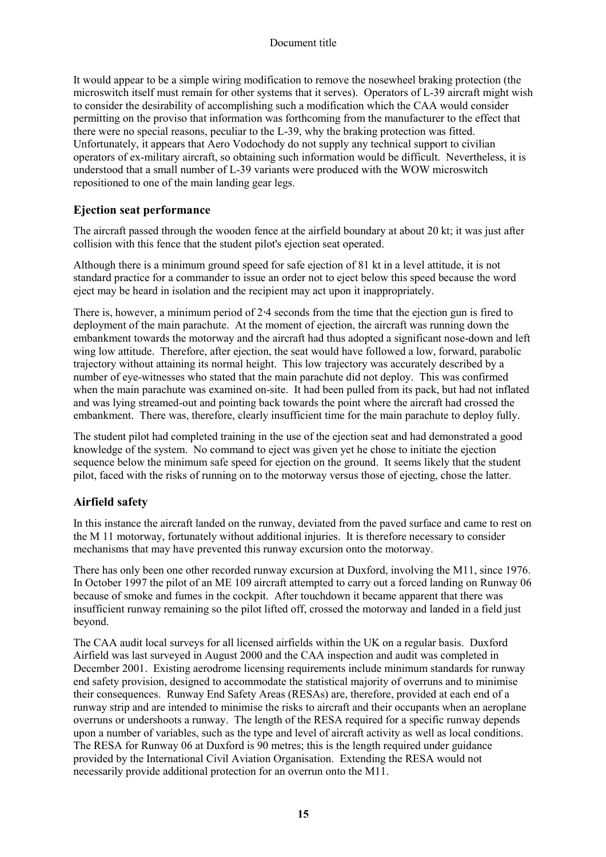It would appear to be a simple wiring modification to remove the nosewheel braking protection (the microswitch itself must remain for other systems that it serves). Operators of L-39 aircraft might wish to consider the desirability of accomplishing such a modification which the CAA would consider permitting on the proviso that information was forthcoming from the manufacturer to the effect that there were no special reasons, peculiar to the L-39, why the braking protection was fitted. Unfortunately, it appears that Aero Vodochody do not supply any technical support to civilian operators of ex-military aircraft, so obtaining such information would be difficult. Nevertheless, it is understood that a small number of L-39 variants were produced with the WOW microswitch repositioned to one of the main landing gear legs.

## **Ejection seat performance**

The aircraft passed through the wooden fence at the airfield boundary at about 20 kt; it was just after collision with this fence that the student pilot's ejection seat operated.

Although there is a minimum ground speed for safe ejection of 81 kt in a level attitude, it is not standard practice for a commander to issue an order not to eject below this speed because the word eject may be heard in isolation and the recipient may act upon it inappropriately.

There is, however, a minimum period of 2⋅4 seconds from the time that the ejection gun is fired to deployment of the main parachute. At the moment of ejection, the aircraft was running down the embankment towards the motorway and the aircraft had thus adopted a significant nose-down and left wing low attitude. Therefore, after ejection, the seat would have followed a low, forward, parabolic trajectory without attaining its normal height. This low trajectory was accurately described by a number of eye-witnesses who stated that the main parachute did not deploy. This was confirmed when the main parachute was examined on-site. It had been pulled from its pack, but had not inflated and was lying streamed-out and pointing back towards the point where the aircraft had crossed the embankment. There was, therefore, clearly insufficient time for the main parachute to deploy fully.

The student pilot had completed training in the use of the ejection seat and had demonstrated a good knowledge of the system. No command to eject was given yet he chose to initiate the ejection sequence below the minimum safe speed for ejection on the ground. It seems likely that the student pilot, faced with the risks of running on to the motorway versus those of ejecting, chose the latter.

#### **Airfield safety**

In this instance the aircraft landed on the runway, deviated from the paved surface and came to rest on the M 11 motorway, fortunately without additional injuries. It is therefore necessary to consider mechanisms that may have prevented this runway excursion onto the motorway.

There has only been one other recorded runway excursion at Duxford, involving the M11, since 1976. In October 1997 the pilot of an ME 109 aircraft attempted to carry out a forced landing on Runway 06 because of smoke and fumes in the cockpit. After touchdown it became apparent that there was insufficient runway remaining so the pilot lifted off, crossed the motorway and landed in a field just beyond.

The CAA audit local surveys for all licensed airfields within the UK on a regular basis. Duxford Airfield was last surveyed in August 2000 and the CAA inspection and audit was completed in December 2001. Existing aerodrome licensing requirements include minimum standards for runway end safety provision, designed to accommodate the statistical majority of overruns and to minimise their consequences. Runway End Safety Areas (RESAs) are, therefore, provided at each end of a runway strip and are intended to minimise the risks to aircraft and their occupants when an aeroplane overruns or undershoots a runway. The length of the RESA required for a specific runway depends upon a number of variables, such as the type and level of aircraft activity as well as local conditions. The RESA for Runway 06 at Duxford is 90 metres; this is the length required under guidance provided by the International Civil Aviation Organisation. Extending the RESA would not necessarily provide additional protection for an overrun onto the M11.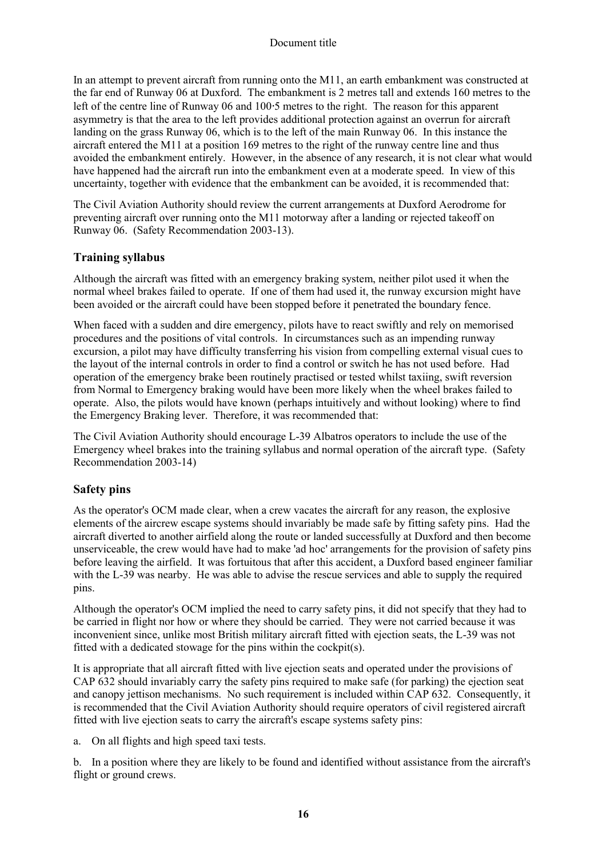In an attempt to prevent aircraft from running onto the M11, an earth embankment was constructed at the far end of Runway 06 at Duxford. The embankment is 2 metres tall and extends 160 metres to the left of the centre line of Runway 06 and 100⋅5 metres to the right. The reason for this apparent asymmetry is that the area to the left provides additional protection against an overrun for aircraft landing on the grass Runway 06, which is to the left of the main Runway 06. In this instance the aircraft entered the M11 at a position 169 metres to the right of the runway centre line and thus avoided the embankment entirely. However, in the absence of any research, it is not clear what would have happened had the aircraft run into the embankment even at a moderate speed. In view of this uncertainty, together with evidence that the embankment can be avoided, it is recommended that:

The Civil Aviation Authority should review the current arrangements at Duxford Aerodrome for preventing aircraft over running onto the M11 motorway after a landing or rejected takeoff on Runway 06. (Safety Recommendation 2003-13).

## **Training syllabus**

Although the aircraft was fitted with an emergency braking system, neither pilot used it when the normal wheel brakes failed to operate. If one of them had used it, the runway excursion might have been avoided or the aircraft could have been stopped before it penetrated the boundary fence.

When faced with a sudden and dire emergency, pilots have to react swiftly and rely on memorised procedures and the positions of vital controls. In circumstances such as an impending runway excursion, a pilot may have difficulty transferring his vision from compelling external visual cues to the layout of the internal controls in order to find a control or switch he has not used before. Had operation of the emergency brake been routinely practised or tested whilst taxiing, swift reversion from Normal to Emergency braking would have been more likely when the wheel brakes failed to operate. Also, the pilots would have known (perhaps intuitively and without looking) where to find the Emergency Braking lever. Therefore, it was recommended that:

The Civil Aviation Authority should encourage L-39 Albatros operators to include the use of the Emergency wheel brakes into the training syllabus and normal operation of the aircraft type. (Safety Recommendation 2003-14)

## **Safety pins**

As the operator's OCM made clear, when a crew vacates the aircraft for any reason, the explosive elements of the aircrew escape systems should invariably be made safe by fitting safety pins. Had the aircraft diverted to another airfield along the route or landed successfully at Duxford and then become unserviceable, the crew would have had to make 'ad hoc' arrangements for the provision of safety pins before leaving the airfield. It was fortuitous that after this accident, a Duxford based engineer familiar with the L-39 was nearby. He was able to advise the rescue services and able to supply the required pins.

Although the operator's OCM implied the need to carry safety pins, it did not specify that they had to be carried in flight nor how or where they should be carried. They were not carried because it was inconvenient since, unlike most British military aircraft fitted with ejection seats, the L-39 was not fitted with a dedicated stowage for the pins within the cockpit(s).

It is appropriate that all aircraft fitted with live ejection seats and operated under the provisions of CAP 632 should invariably carry the safety pins required to make safe (for parking) the ejection seat and canopy jettison mechanisms. No such requirement is included within CAP 632. Consequently, it is recommended that the Civil Aviation Authority should require operators of civil registered aircraft fitted with live ejection seats to carry the aircraft's escape systems safety pins:

a. On all flights and high speed taxi tests.

b. In a position where they are likely to be found and identified without assistance from the aircraft's flight or ground crews.